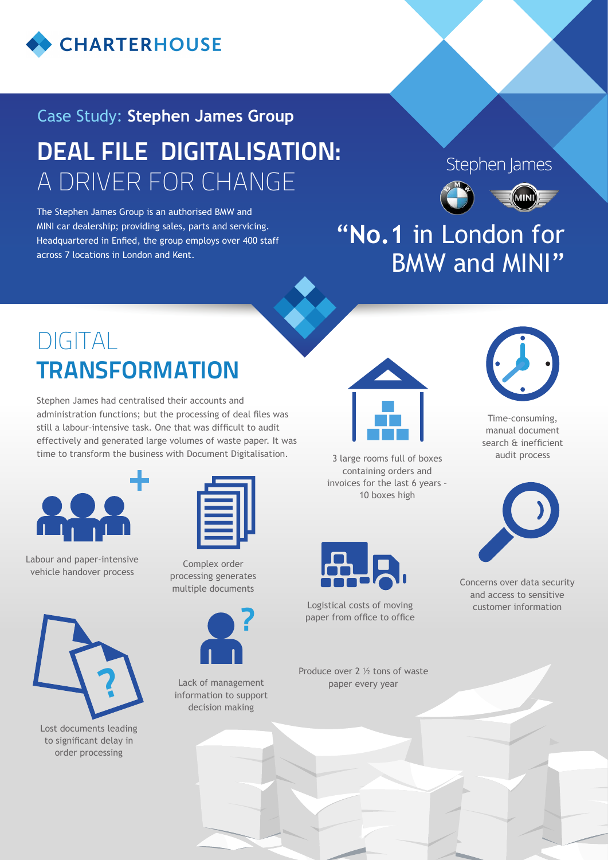

# DEAL FILE DIGITALISATION: A DRIVER FOR CHANGE Case Study: **Stephen James Group**

The Stephen James Group is an authorised BMW and MINI car dealership; providing sales, parts and servicing. Headquartered in Enfied, the group employs over 400 staff across 7 locations in London and Kent.

#### Stephen James



## "**No.1** in London for BMW and MINI"

# DIGITAL **TRANSFORMATION**

Stephen James had centralised their accounts and administration functions; but the processing of deal files was still a labour-intensive task. One that was difficult to audit effectively and generated large volumes of waste paper. It was time to transform the business with Document Digitalisation.





Labour and paper-intensive vehicle handover process

Complex order processing generates multiple documents



Lack of management information to support decision making



3 large rooms full of boxes containing orders and invoices for the last 6 years – 10 boxes high



Logistical costs of moving paper from office to office

Produce over 2 ½ tons of waste paper every year



Time-consuming, manual document search & inefficient audit process



Concerns over data security and access to sensitive customer information



Lost documents leading to significant delay in order processing